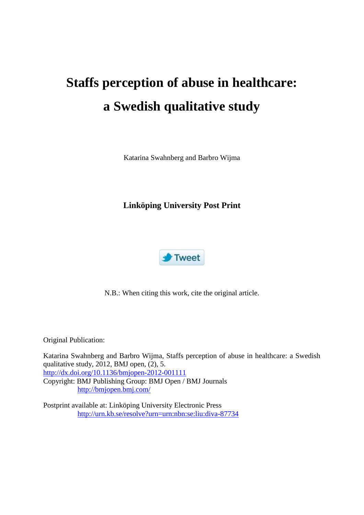# **Staffs perception of abuse in healthcare: a Swedish qualitative study**

Katarina Swahnberg and Barbro Wijma

# **Linköping University Post Print**



N.B.: When citing this work, cite the original article.

Original Publication:

Katarina Swahnberg and Barbro Wijma, Staffs perception of abuse in healthcare: a Swedish qualitative study, 2012, BMJ open, (2), 5. <http://dx.doi.org/10.1136/bmjopen-2012-001111> Copyright: BMJ Publishing Group: BMJ Open / BMJ Journals <http://bmjopen.bmj.com/>

Postprint available at: Linköping University Electronic Press <http://urn.kb.se/resolve?urn=urn:nbn:se:liu:diva-87734>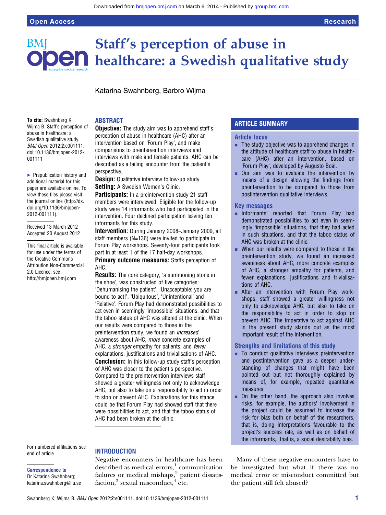# Staff's perception of abuse in BM **Den** healthcare: a Swedish qualitative study

Katarina Swahnberg, Barbro Wijma

To cite: Swahnberg K, Wijma B. Staff's perception of abuse in healthcare: a Swedish qualitative study. BMJ Open 2012;2:e001111. doi:10.1136/bmjopen-2012- 001111

▶ Prepublication history and additional material for this paper are available online. To view these files please visit the journal online ([http://dx.](http://bmjopen.bmj.com) [doi.org/10.1136/bmjopen-](http://bmjopen.bmj.com)[2012-001111](http://bmjopen.bmj.com)).

Received 13 March 2012 Accepted 20 August 2012

This final article is available for use under the terms of the Creative Commons Attribution Non-Commercial 2.0 Licence; see <http://bmjopen.bmj.com>

ABSTRACT

**Objective:** The study aim was to apprehend staff's perception of abuse in healthcare (AHC) after an intervention based on 'Forum Play', and make comparisons to preintervention interviews and interviews with male and female patients. AHC can be described as a failing encounter from the patient's perspective.

**Design:** Qualitative interview follow-up study. Setting: A Swedish Women's Clinic.

**Participants:** In a preintervention study 21 staff members were interviewed. Eligible for the follow-up study were 14 informants who had participated in the intervention. Four declined participation leaving ten informants for this study.

Intervention: During January 2008–January 2009, all staff members (N=136) were invited to participate in Forum Play workshops. Seventy-four participants took part in at least 1 of the 17 half-day workshops.

**Primary outcome measures:** Staffs perception of AHC.

Results: The core category, 'a summoning stone in the shoe', was constructed of five categories: 'Dehumanising the patient', 'Unacceptable: you are bound to act!', 'Ubiquitous', 'Unintentional' and 'Relative'. Forum Play had demonstrated possibilities to act even in seemingly 'impossible' situations, and that the taboo status of AHC was altered at the clinic. When our results were compared to those in the preintervention study, we found an *increased* awareness about AHC, more concrete examples of AHC, a *stronger* empathy for patients, and *fewer* explanations, justifications and trivialisations of AHC. **Conclusion:** In this follow-up study staff's perception of AHC was closer to the patient's perspective. Compared to the preintervention interviews staff showed a greater willingness not only to acknowledge AHC, but also to take on a responsibility to act in order to stop or prevent AHC. Explanations for this stance could be that Forum Play had showed staff that there were possibilities to act, and that the taboo status of AHC had been broken at the clinic.

For numbered affiliations see end of article

# **INTRODUCTION**

Correspondence to Dr Katarina Swahnberg; katarina.swahnberg@liu.se

Negative encounters in healthcare has been described as medical errors,<sup>1</sup> communication failures or medical mishaps,<sup>2</sup> patient dissatisfaction, $3$  sexual misconduct, $4$  etc.

# ARTICLE SUMMARY

#### Article focus

- $\blacksquare$  The study objective was to apprehend changes in the attitude of healthcare staff to abuse in healthcare (AHC) after an intervention, based on 'Forum Play', developed by Augusto Boal.
- Our aim was to evaluate the intervention by means of a design allowing the findings from preintervention to be compared to those from postintervention qualitative interviews.

#### Key messages

- **.** Informants' reported that Forum Play had demonstrated possibilities to act even in seemingly 'impossible' situations, that they had acted in such situations, and that the taboo status of AHC was broken at the clinic.
- $\blacksquare$  When our results were compared to those in the preintervention study, we found an increased awareness about AHC, more concrete examples of AHC, a stronger empathy for patients, and fewer explanations, justifications and trivialisations of AHC.
- After an intervention with Forum Play workshops, staff showed a greater willingness not only to acknowledge AHC, but also to take on the responsibility to act in order to stop or prevent AHC. The imperative to act against AHC in the present study stands out as the most important result of the intervention.

#### Strengths and limitations of this study

- To conduct qualitative interviews preintervention and postintervention gave us a deeper understanding of changes that might have been pointed out but not thoroughly explained by means of, for example, repeated quantitative measures.
- $\blacksquare$  On the other hand, the approach also involves risks, for example, the authors' involvement in the project could be assumed to increase the risk for bias both on behalf of the researchers, that is, doing interpretations favourable to the project's success rate, as well as on behalf of the informants, that is, a social desirability bias.

Many of these negative encounters have to be investigated but what if there was no medical error or misconduct committed but the patient still felt abused?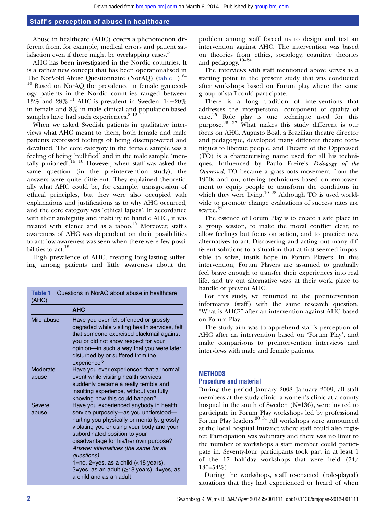Abuse in healthcare (AHC) covers a phenomenon different from, for example, medical errors and patient satisfaction even if there might be overlapping cases.<sup>5</sup>

AHC has been investigated in the Nordic countries. It is a rather new concept that has been operationalised in The NorVold Abuse Questionnaire (NorAQ) (table 1).<sup>6–</sup> <sup>10</sup> Based on NorAQ the prevalence in female gynaecology patients in the Nordic countries ranged between 13% and 28%.<sup>11</sup> AHC is prevalent in Sweden; 14−20% in female and 8% in male clinical and population-based samples have had such experiences.<sup>8 12–14</sup>

When we asked Swedish patients in qualitative interviews what AHC meant to them, both female and male patients expressed feelings of being disempowered and devalued. The core category in the female sample was a feeling of being 'nullified' and in the male sample 'mentally pinioned'.<sup>15</sup> <sup>16</sup> However, when staff was asked the same question (in the preintervention study), the answers were quite different. They explained theoretically what AHC could be, for example, transgression of ethical principles, but they were also occupied with explanations and justifications as to why AHC occurred, and the core category was 'ethical lapses'. In accordance with their ambiguity and inability to handle AHC, it was treated with silence and as a taboo.<sup>17</sup> Moreover, staff's awareness of AHC was dependent on their possibilities to act; low awareness was seen when there were few possibilities to act.<sup>18</sup>

High prevalence of AHC, creating long-lasting suffering among patients and little awareness about the

| Table 1<br>(AHC)  | Questions in NorAQ about abuse in healthcare                                                                                                                                                                                                                                                                                                                                                                                          |
|-------------------|---------------------------------------------------------------------------------------------------------------------------------------------------------------------------------------------------------------------------------------------------------------------------------------------------------------------------------------------------------------------------------------------------------------------------------------|
|                   | <b>AHC</b>                                                                                                                                                                                                                                                                                                                                                                                                                            |
| Mild abuse        | Have you ever felt offended or grossly<br>degraded while visiting health services, felt<br>that someone exercised blackmail against<br>you or did not show respect for your<br>opinion-in such a way that you were later<br>disturbed by or suffered from the<br>experience?                                                                                                                                                          |
| Moderate<br>abuse | Have you ever experienced that a 'normal'<br>event while visiting health services,<br>suddenly became a really terrible and<br>insulting experience, without you fully<br>knowing how this could happen?                                                                                                                                                                                                                              |
| Severe<br>abuse   | Have you experienced anybody in health<br>service purposely-as you understood-<br>hurting you physically or mentally, grossly<br>violating you or using your body and your<br>subordinated position to your<br>disadvantage for his/her own purpose?<br>Answer alternatives (the same for all<br>questions)<br>1=no, 2=yes, as a child $($ <18 years),<br>3=yes, as an adult ( $\geq$ 18 years), 4=yes, as<br>a child and as an adult |

problem among staff forced us to design and test an intervention against AHC. The intervention was based on theories from ethics, sociology, cognitive theories and pedagogy.19–<sup>24</sup>

The interviews with staff mentioned above serves as a starting point in the present study that was conducted after workshops based on Forum play where the same group of staff could participate.

There is a long tradition of interventions that addresses the interpersonal component of quality of care.<sup>25</sup> Role play is one technique used for this purpose.26 27 What makes this study different is our focus on AHC. Augusto Boal, a Brazilian theatre director and pedagogue, developed many different theatre techniques to liberate people, and Theatre of the Oppressed (TO) is a characterising name used for all his techniques. Influenced by Paulo Freire's Pedagogy of the Oppressed, TO became a grassroots movement from the 1960s and on, offering techniques based on empowerment to equip people to transform the conditions in which they were living.<sup>19 28</sup> Although TO is used worldwide to promote change evaluations of success rates are scarce.<sup>29</sup>

The essence of Forum Play is to create a safe place in a group session, to make the moral conflict clear, to allow feelings but focus on action, and to practice new alternatives to act. Discovering and acting out many different solutions to a situation that at first seemed impossible to solve, instils hope in Forum Players. In this intervention, Forum Players are assumed to gradually feel brave enough to transfer their experiences into real life, and try out alternative ways at their work place to handle or prevent AHC.

For this study, we returned to the preintervention informants (staff) with the same research question, "What is AHC?" after an intervention against AHC based on Forum Play.

The study aim was to apprehend staff's perception of AHC after an intervention based on 'Forum Play', and make comparisons to preintervention interviews and interviews with male and female patients.

#### **METHODS**

#### Procedure and material

During the period January 2008–January 2009, all staff members at the study clinic, a women's clinic at a county hospital in the south of Sweden (N=136), were invited to participate in Forum Play workshops led by professional Forum Play leaders.<sup>30 31</sup> All workshops were announced at the local hospital Intranet where staff could also register. Participation was voluntary and there was no limit to the number of workshops a staff member could participate in. Seventy-four participants took part in at least 1 of the 17 half-day workshops that were held (74/ 136=54%).

During the workshops, staff re-enacted (role-played) situations that they had experienced or heard of when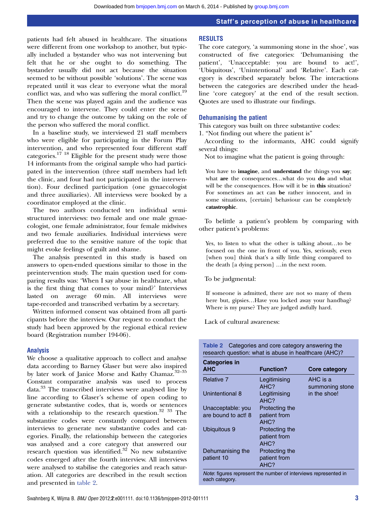patients had felt abused in healthcare. The situations were different from one workshop to another, but typically included a bystander who was not intervening but felt that he or she ought to do something. The bystander usually did not act because the situation seemed to be without possible 'solutions'. The scene was repeated until it was clear to everyone what the moral conflict was, and who was suffering the moral conflict.<sup>19</sup> Then the scene was played again and the audience was encouraged to intervene. They could enter the scene and try to change the outcome by taking on the role of the person who suffered the moral conflict.

In a baseline study, we interviewed 21 staff members who were eligible for participating in the Forum Play intervention, and who represented four different staff categories.17 18 Eligible for the present study were those 14 informants from the original sample who had participated in the intervention (three staff members had left the clinic, and four had not participated in the intervention). Four declined participation (one gynaecologist and three auxiliaries). All interviews were booked by a coordinator employed at the clinic.

The two authors conducted ten individual semistructured interviews: two female and one male gynaecologist, one female administrator, four female midwives and two female auxiliaries. Individual interviews were preferred due to the sensitive nature of the topic that might evoke feelings of guilt and shame.

The analysis presented in this study is based on answers to open-ended questions similar to those in the preintervention study. The main question used for comparing results was: 'When I say abuse in healthcare, what is the first thing that comes to your mind?' Interviews lasted on average 60 min. All interviews were tape-recorded and transcribed verbatim by a secretary.

Written informed consent was obtained from all participants before the interview. Our request to conduct the study had been approved by the regional ethical review board (Registration number 194-06).

#### Analysis

We choose a qualitative approach to collect and analyse data according to Barney Glaser but were also inspired by later work of Janice Morse and Kathy Chamaz.<sup>32–35</sup> Constant comparative analysis was used to process data.33 The transcribed interviews were analysed line by line according to Glaser's scheme of open coding to generate substantive codes, that is, words or sentences with a relationship to the research question.<sup>32</sup> <sup>33</sup> The substantive codes were constantly compared between interviews to generate new substantive codes and categories. Finally, the relationship between the categories was analysed and a core category that answered our research question was identified.<sup>32</sup> No new substantive codes emerged after the fourth interview. All interviews were analysed to stabilise the categories and reach saturation. All categories are described in the result section and presented in table 2.

#### RESULTS

The core category, 'a summoning stone in the shoe', was constructed of five categories: 'Dehumanising the patient', 'Unacceptable: you are bound to act!', 'Ubiquitous', 'Unintentional' and 'Relative'. Each category is described separately below. The interactions between the categories are described under the headline 'core category' at the end of the result section. Quotes are used to illustrate our findings.

#### Dehumanising the patient

This category was built on three substantive codes:

1. "Not finding out where the patient is"

According to the informants, AHC could signify several things:

Not to imagine what the patient is going through:

You have to *imagine*, and *understand* the things you say; what are the consequences...what do you do and what will be the consequences. How will it be in this situation? For sometimes an act can be rather innocent, and in some situations, [certain] behaviour can be completely catastrophic.

To belittle a patient's problem by comparing with other patient's problems:

Yes, to listen to what the other is talking about…to be focused on the one in front of you. Yes, seriously, even [when you] think that's a silly little thing compared to the death [a dying person] …in the next room.

To be judgmental:

If someone is admitted, there are not so many of them here but, gipsies…Have you locked away your handbag? Where is my purse? They are judged awfully hard.

Lack of cultural awareness:

| <b>Function?</b>                       | Core category               |
|----------------------------------------|-----------------------------|
| Legitimising<br>AHC?                   | AHC is a<br>summoning stone |
| Legitimising<br>AHC?                   | in the shoe!                |
| Protecting the                         |                             |
| patient from<br>AHC?                   |                             |
| Protecting the<br>patient from<br>AHC? |                             |
| Protecting the                         |                             |
| patient from<br>AHC?                   |                             |
|                                        |                             |

| Table 2 | Categories and core category answering the            |
|---------|-------------------------------------------------------|
|         | research question: what is abuse in healthcare (AHC)? |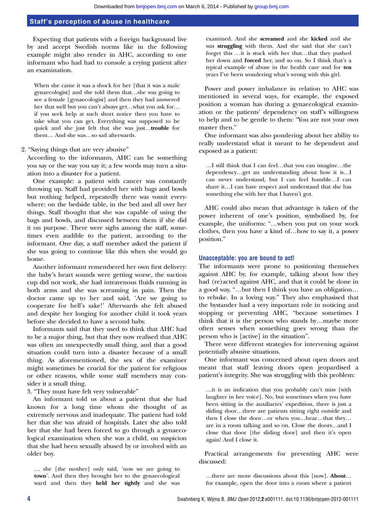Expecting that patients with a foreign background live by and accept Swedish norms like in the following example might also render in AHC, according to one informant who had had to console a crying patient after an examination.

When she came it was a shock for her [that it was a male gynaecologist] and she told them that…she was going to see a female [gynaecologist] and then they had answered her that well but you can't always get…what you ask for… if you seek help at such short notice then you have to take what you can get. Everything was supposed to be quick and she just felt that she was just…trouble for them… And she was…so sad afterwards.

#### 2. "Saying things that are very abusive"

According to the informants, AHC can be something you say or the way you say it; a few words may turn a situation into a disaster for a patient.

One example: a patient with cancer was constantly throwing up. Staff had provided her with bags and bowls but nothing helped, repeatedly there was vomit everywhere: on the bedside table, in the bed and all over her things. Staff thought that she was capable of using the bags and bowls, and discussed between them if she did it on purpose. There were sighs among the staff, sometimes even audible to the patient, according to the informant. One day, a staff member asked the patient if she was going to continue like this when she would go home.

Another informant remembered her own first delivery: the baby's heart sounds were getting worse, the suction cup did not work, she had intravenous fluids running in both arms and she was screaming in pain. Then the doctor came up to her and said, 'Are we going to cooperate for hell's sake!' Afterwards she felt abused and despite her longing for another child it took years before she decided to have a second baby.

Informants said that they used to think that AHC had to be a major thing, but that they now realised that AHC was often an unexpectedly small thing, and that a good situation could turn into a disaster because of a small thing. As aforementioned, the sex of the examiner might sometimes be crucial for the patient for religious or other reasons, while some staff members may consider it a small thing.

3. "They must have felt very vulnerable"

An informant told us about a patient that she had known for a long time whom she thought of as extremely nervous and inadequate. The patient had told her that she was afraid of hospitals. Later she also told her that she had been forced to go through a gynaecological examination when she was a child, on suspicion that she had been sexually abused by or involved with an older boy.

… she [the mother] only said, 'now we are going to town'. And then they brought her to the gynaecological ward and then they held her tightly and she was examined. And she screamed and she kicked and she was struggling with them. And she said that she can't forget this …it is stuck with her that…that they pushed her down and forced her, and so on. So I think that's a typical example of abuse in the health care and for ten years I've been wondering what's wrong with this girl.

Power and power imbalance in relation to AHC was mentioned in several ways, for example, the exposed position a woman has during a gynaecological examination or the patients' dependency on staff's willingness to help and to be gentle to them: "You are not your own master then."

One informant was also pondering about her ability to really understand what it meant to be dependent and exposed as a patient:

…I still think that I can feel…that you can imagine…the dependency…get an understanding about how it is…I can never understand, but I can feel humble…I can share it…I can have respect and understand that she has something else with her that I haven't got.

AHC could also mean that advantage is taken of the power inherent of one's position, symbolised by, for example, the uniforms: "…when you put on your work clothes, then you have a kind of…how to say it, a power position."

#### Unacceptable: you are bound to act!

The informants were prone to positioning themselves against AHC by, for example, talking about how they had (re)acted against AHC, and that it could be done in a good way, "…but then I think you have an obligation… to rebuke. In a loving way." They also emphasised that the bystander had a very important role in noticing and stopping or preventing AHC, "because sometimes I think that it is the person who stands by…maybe more often senses when something goes wrong than the person who is [active] in the situation".

There were different strategies for intervening against potentially abusive situations.

One informant was concerned about open doors and meant that staff leaving doors open jeopardised a patient's integrity. She was struggling with this problem:

…it is an indication that you probably can't miss [with laughter in her voice]. No, but sometimes when you have been sitting in the auxiliaries' expedition, there is just a sliding door…there are patients sitting right outside and then I close the door…or when you…hear…that they… are in a room talking and so on. Close the doors…and I close that door [the sliding door] and then it's open again! And I close it.

Practical arrangements for preventing AHC were discussed:

…there are more discussions about this [now]. About… for example, open the door into a room where a patient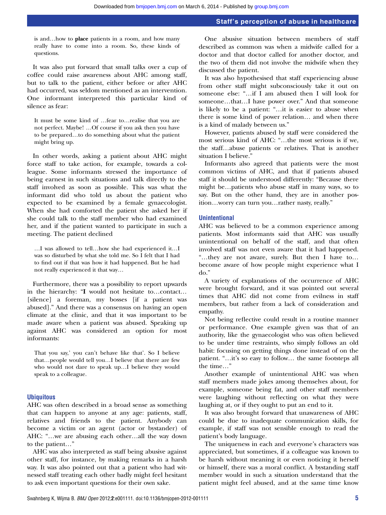is and…how to place patients in a room, and how many really have to come into a room. So, these kinds of questions.

It was also put forward that small talks over a cup of coffee could raise awareness about AHC among staff, but to talk to the patient, either before or after AHC had occurred, was seldom mentioned as an intervention. One informant interpreted this particular kind of silence as fear:

It must be some kind of …fear to…realise that you are not perfect. Maybe! …Of course if you ask then you have to be prepared…to do something about what the patient might bring up.

In other words, asking a patient about AHC might force staff to take action, for example, towards a colleague. Some informants stressed the importance of being earnest in such situations and talk directly to the staff involved as soon as possible. This was what the informant did who told us about the patient who expected to be examined by a female gynaecologist. When she had comforted the patient she asked her if she could talk to the staff member who had examined her, and if the patient wanted to participate in such a meeting. The patient declined

…I was allowed to tell…how she had experienced it…I was so disturbed by what she told me. So I felt that I had to find out if that was how it had happened. But he had not really experienced it that way…

Furthermore, there was a possibility to report upwards in the hierarchy: "I would not hesitate to…contact… [silence] a foreman, my bosses [if a patient was abused]." And there was a consensus on having an open climate at the clinic, and that it was important to be made aware when a patient was abused. Speaking up against AHC was considered an option for most informants:

That you say,' you can't behave like that'. So I believe that…people would tell you…I believe that there are few who would not dare to speak up…I believe they would speak to a colleague.

#### **Ubiquitous**

AHC was often described in a broad sense as something that can happen to anyone at any age: patients, staff, relatives and friends to the patient. Anybody can become a victim or an agent (actor or bystander) of AHC: "…we are abusing each other…all the way down to the patient…"

AHC was also interpreted as staff being abusive against other staff, for instance, by making remarks in a harsh way. It was also pointed out that a patient who had witnessed staff treating each other badly might feel hesitant to ask even important questions for their own sake.

One abusive situation between members of staff described as common was when a midwife called for a doctor and that doctor called for another doctor, and the two of them did not involve the midwife when they discussed the patient.

It was also hypothesised that staff experiencing abuse from other staff might subconsciously take it out on someone else: "…if I am abused then I will look for someone…that…I have power over." And that someone is likely to be a patient: "…it is easier to abuse when there is some kind of power relation… and when there is a kind of malady between us."

However, patients abused by staff were considered the most serious kind of AHC: "…the most serious is if we, the staff…abuse patients or relatives. That is another situation I believe."

Informants also agreed that patients were the most common victims of AHC, and that if patients abused staff it should be understood differently: "Because there might be…patients who abuse staff in many ways, so to say. But on the other hand, they are in another position…worry can turn you…rather nasty, really."

#### Unintentional

AHC was believed to be a common experience among patients. Most informants said that AHC was usually unintentional on behalf of the staff, and that often involved staff was not even aware that it had happened. "…they are not aware, surely. But then I have to… become aware of how people might experience what I do."

A variety of explanations of the occurrence of AHC were brought forward, and it was pointed out several times that AHC did not come from evilness in staff members, but rather from a lack of consideration and empathy.

Not being reflective could result in a routine manner or performance. One example given was that of an authority, like the gynaecologist who was often believed to be under time restraints, who simply follows an old habit: focusing on getting things done instead of on the patient. "…it's so easy to follow… the same footsteps all the time…"

Another example of unintentional AHC was when staff members made jokes among themselves about, for example, someone being fat, and other staff members were laughing without reflecting on what they were laughing at, or if they ought to put an end to it.

It was also brought forward that unawareness of AHC could be due to inadequate communication skills, for example, if staff was not sensible enough to read the patient's body language.

The uniqueness in each and everyone's characters was appreciated, but sometimes, if a colleague was known to be harsh without meaning it or even noticing it herself or himself, there was a moral conflict. A bystanding staff member would in such a situation understand that the patient might feel abused, and at the same time know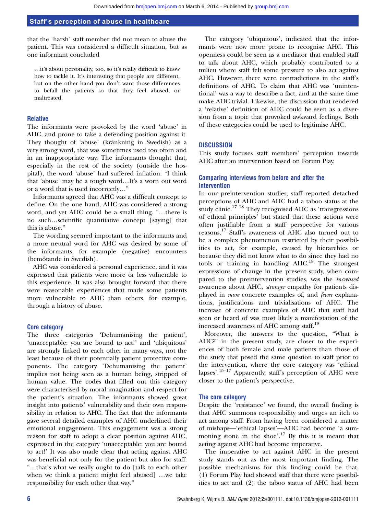that the 'harsh' staff member did not mean to abuse the patient. This was considered a difficult situation, but as one informant concluded

…it's about personality, too, so it's really difficult to know how to tackle it. It's interesting that people are different, but on the other hand you don't want those differences to befall the patients so that they feel abused, or maltreated.

#### Relative

The informants were provoked by the word 'abuse' in AHC, and prone to take a defending position against it. They thought of 'abuse' (kränkning in Swedish) as a very strong word, that was sometimes used too often and in an inappropriate way. The informants thought that, especially in the rest of the society (outside the hospital), the word 'abuse' had suffered inflation. "I think that 'abuse' may be a tough word…It's a worn out word or a word that is used incorrectly…"

Informants agreed that AHC was a difficult concept to define. On the one hand, AHC was considered a strong word, and yet AHC could be a small thing. "…there is no such…scientific quantitative concept [saying] that this is abuse."

The wording seemed important to the informants and a more neutral word for AHC was desired by some of the informants, for example (negative) encounters (bemötande in Swedish).

AHC was considered a personal experience, and it was expressed that patients were more or less vulnerable to this experience. It was also brought forward that there were reasonable experiences that made some patients more vulnerable to AHC than others, for example, through a history of abuse.

#### Core category

The three categories 'Dehumanising the patient', 'unacceptable: you are bound to act!' and 'ubiquitous' are strongly linked to each other in many ways, not the least because of their potentially patient protective components. The category 'Dehumanising the patient' implies not being seen as a human being, stripped of human value. The codes that filled out this category were characterised by moral imagination and respect for the patient's situation. The informants showed great insight into patients' vulnerability and their own responsibility in relation to AHC. The fact that the informants gave several detailed examples of AHC underlined their emotional engagement. This engagement was a strong reason for staff to adopt a clear position against AHC, expressed in the category 'unacceptable: you are bound to act!' It was also made clear that acting against AHC was beneficial not only for the patient but also for staff: "…that's what we really ought to do [talk to each other when we think a patient might feel abused] …we take responsibility for each other that way."

The category 'ubiquitous', indicated that the informants were now more prone to recognise AHC. This openness could be seen as a mediator that enabled staff to talk about AHC, which probably contributed to a milieu where staff felt some pressure to also act against AHC. However, there were contradictions in the staff's definitions of AHC. To claim that AHC was 'unintentional' was a way to describe a fact, and at the same time make AHC trivial. Likewise, the discussion that rendered a 'relative' definition of AHC could be seen as a diversion from a topic that provoked awkward feelings. Both of these categories could be used to legitimise AHC.

#### **DISCUSSION**

This study focuses staff members' perception towards AHC after an intervention based on Forum Play.

## Comparing interviews from before and after the intervention

In our preintervention studies, staff reported detached perceptions of AHC and AHC had a taboo status at the study clinic.<sup>17 18</sup> They recognised AHC as 'transgressions' of ethical principles' but stated that these actions were often justifiable from a staff perspective for various reasons.<sup>17</sup> Staff's awareness of AHC also turned out to be a complex phenomenon restricted by their possibilities to act, for example, caused by hierarchies or because they did not know what to do since they had no tools or training in handling AHC.<sup>18</sup> The strongest expressions of change in the present study, when compared to the preintervention studies, was the increased awareness about AHC, stronger empathy for patients displayed in *more* concrete examples of, and *fewer* explanations, justifications and trivialisations of AHC. The increase of concrete examples of AHC that staff had seen or heard of was most likely a manifestation of the increased awareness of AHC among staff.18

Moreover, the answers to the question, "What is AHC?" in the present study, are closer to the experiences of both female and male patients than those of the study that posed the same question to staff prior to the intervention, where the core category was 'ethical lapses'.<sup>15-17</sup> Apparently, staff's perception of AHC were closer to the patient's perspective.

#### The core category

Despite the 'resistance' we found, the overall finding is that AHC summons responsibility and urges an itch to act among staff. From having been considered a matter of mishaps—'ethical lapses'—AHC had become 'a summoning stone in the shoe'. <sup>17</sup> By this it is meant that acting against AHC had become imperative.

The imperative to act against AHC in the present study stands out as the most important finding. The possible mechanisms for this finding could be that, (1) Forum Play had showed staff that there were possibilities to act and (2) the taboo status of AHC had been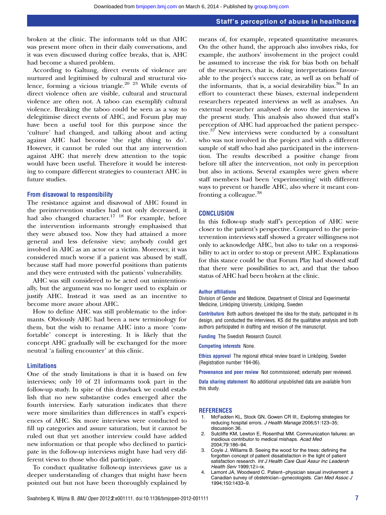broken at the clinic. The informants told us that AHC was present more often in their daily conversations, and it was even discussed during coffee breaks, that is, AHC had become a shared problem.

According to Galtung, direct events of violence are nurtured and legitimised by cultural and structural violence, forming a vicious triangle.<sup>20</sup>  $^{23}$  While events of direct violence often are visible, cultural and structural violence are often not. A taboo can exemplify cultural violence. Breaking the taboo could be seen as a way to delegitimise direct events of AHC, and Forum play may have been a useful tool for this purpose since the 'culture' had changed, and talking about and acting against AHC had become 'the right thing to do'. However, it cannot be ruled out that any intervention against AHC that merely drew attention to the topic would have been useful. Therefore it would be interesting to compare different strategies to counteract AHC in future studies.

## From disavowal to responsibility

The resistance against and disavowal of AHC found in the preintervention studies had not only decreased, it had also changed character.<sup>17</sup> <sup>18</sup> For example, before the intervention informants strongly emphasised that they were abused too. Now they had attained a more general and less defensive view; anybody could get involved in AHC as an actor or a victim. Moreover, it was considered much worse if a patient was abused by staff, because staff had more powerful positions than patients and they were entrusted with the patients' vulnerability.

AHC was still considered to be acted out unintentionally, but the argument was no longer used to explain or justify AHC. Instead it was used as an incentive to become more aware about AHC.

How to define AHC was still problematic to the informants. Obviously AHC had been a new terminology for them, but the wish to rename AHC into a more 'comfortable' concept is interesting. It is likely that the concept AHC gradually will be exchanged for the more neutral 'a failing encounter' at this clinic.

# Limitations

One of the study limitations is that it is based on few interviews; only 10 of 21 informants took part in the follow-up study. In spite of this drawback we could establish that no new substantive codes emerged after the fourth interview. Early saturation indicates that there were more similarities than differences in staff's experiences of AHC. Six more interviews were conducted to fill up categories and assure saturation, but it cannot be ruled out that yet another interview could have added new information or that people who declined to participate in the follow-up interviews might have had very different views to those who did participate.

To conduct qualitative follow-up interviews gave us a deeper understanding of changes that might have been pointed out but not have been thoroughly explained by

means of, for example, repeated quantitative measures. On the other hand, the approach also involves risks, for example, the authors' involvement in the project could be assumed to increase the risk for bias both on behalf of the researchers, that is, doing interpretations favourable to the project's success rate, as well as on behalf of the informants, that is, a social desirability bias. $36$  In an effort to counteract these biases, external independent researchers repeated interviews as well as analyses. An external researcher analysed de novo the interviews in the present study. This analysis also showed that staff's perception of AHC had approached the patient perspective.<sup>37</sup> New interviews were conducted by a consultant who was not involved in the project and with a different sample of staff who had also participated in the intervention. The results described a positive change from before till after the intervention, not only in perception but also in actions. Several examples were given where staff members had been 'experimenting' with different ways to prevent or handle AHC, also where it meant confronting a colleague.<sup>38</sup>

#### **CONCLUSION**

In this follow-up study staff's perception of AHC were closer to the patient's perspective. Compared to the preintervention interviews staff showed a greater willingness not only to acknowledge AHC, but also to take on a responsibility to act in order to stop or prevent AHC. Explanations for this stance could be that Forum Play had showed staff that there were possibilities to act, and that the taboo status of AHC had been broken at the clinic.

#### Author affiliations

Division of Gender and Medicine, Department of Clinical and Experimental Medicine, Linköping University, Linköping, Sweden

Contributors Both authors developed the idea for the study, participated in its design, and conducted the interviews. KS did the qualitative analysis and both authors participated in drafting and revision of the manuscript.

Funding The Swedish Research Council.

Competing interests None.

Ethics approval The regional ethical review board in Linköping, Sweden (Registration number 194-06).

Provenance and peer review Not commissioned; externally peer reviewed.

Data sharing statement No additional unpublished data are available from this study.

#### **REFERENCES**

- 1. McFadden KL, Stock GN, Gowen CR III,. Exploring strategies for reducing hospital errors. J Health Manage 2006;51:123–35; discussion 36.
- 2. Sutcliffe KM, Lewton E, Rosenthal MM. Communication failures: an insidious contributor to medical mishaps. Acad Med 2004;79:186–94.
- 3. Coyle J, Williams B. Seeing the wood for the trees: defining the forgotten concept of patient dissatisfaction in the light of patient satisfaction research. Int J Health Care Qual Assur Inc Leadersh Health Serv 1999:12:i-ix.
- 4. Lamont JA, Woodward C. Patient−physician sexual involvement: a Canadian survey of obstetrician−gynecologists. Can Med Assoc J 1994;150:1433–9.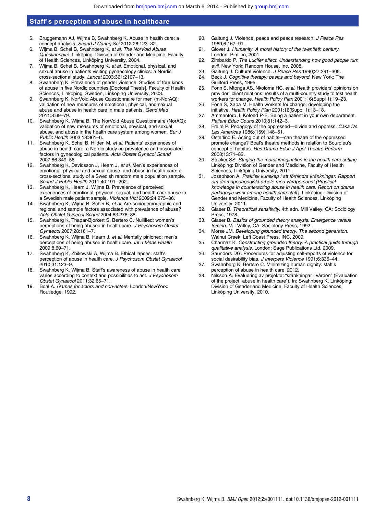- 5. Bruggemann AJ, Wijma B, Swahnberg K. Abuse in health care: a concept analysis. Scand J Caring Sci 2012;26:123-32.
- 6. Wijma B, Schei B, Swahnberg K, et al. The NorVold Abuse Questionnaire. Linköping: Division of Gender and Medicine, Faculty of Health Sciences, Linköping University, 2004.
- 7. Wijma B, Schei B, Swahnberg K, et al. Emotional, physical, and sexual abuse in patients visiting gynaecology clinics: a Nordic cross-sectional study. Lancet 2003;361:2107–13.
- 8. Swahnberg K. Prevalence of gender violence. Studies of four kinds of abuse in five Nordic countries [Doctoral Thesis]. Faculty of Health Sciences, Linköping, Sweden, Linköping University, 2003.
- 9. Swahnberg K. NorVold Abuse Questionnaire for men (m-NorAQ): validation of new measures of emotional, physical, and sexual abuse and abuse in health care in male patients. Gend Med 2011;8:69–79.
- 10. Swahnberg K, Wijma B. The NorVold Abuse Questionnaire (NorAQ): validation of new measures of emotional, physical, and sexual abuse, and abuse in the health care system among women. Eur J Public Health 2003;13:361–6.
- 11. Swahnberg K, Schei B, Hilden M, et al. Patients' experiences of abuse in health care: a Nordic study on prevalence and associated factors in gynecological patients. Acta Obstet Gynecol Scand 2007;86:349–56.
- 12. Swahnberg K, Davidsson J, Hearn J, et al. Men's experiences of emotional, physical and sexual abuse, and abuse in health care: a cross-sectional study of a Swedish random male population sample. Scand J Public Health 2011;40:191–202.
- 13. Swahnberg K, Hearn J, Wijma B. Prevalence of perceived experiences of emotional, physical, sexual, and health care abuse in a Swedish male patient sample. Violence Vict 2009;24:275–86.
- Swahnberg K, Wijma B, Schei B, et al. Are sociodemographic and regional and sample factors associated with prevalence of abuse? Acta Obstet Gynecol Scand 2004;83:276–88.
- 15. Swahnberg K, Thapar-Bjorkert S, Bertero C. Nullified: women's perceptions of being abused in health care. J Psychosom Obstet Gynaecol 2007;28:161–7.
- 16. Swahnberg K, Wijma B, Hearn J, et al. Mentally pinioned: men's perceptions of being abused in health care. Int J Mens Health 2009;8:60–71.
- 17. Swahnberg K, Zbikowski A, Wijma B. Ethical lapses: staff's perception of abuse in health care. J Psychosom Obstet Gynaecol 2010;31:123–9.
- 18. Swahnberg K, Wijma B. Staff's awareness of abuse in health care varies according to context and possibilities to act. J Psychosom Obstet Gynaecol 2011;32:65–71.
- 19. Boal A. Games for actors and non-actors. London/NewYork: Routledge, 1992.
- 20. Galtung J. Violence, peace and peace research. *J Peace Res* 1969;6:167–91.
- 21. Glover J. Humanity. A moral history of the twentieth century. London: Pimlico, 2001.
- 22. Zimbardo P. The Lucifer effect. Understanding how good people turn evil. New York: Random House, Inc, 2008.
- 23. Galtung J. Cultural violence. J Peace Res 1990;27:291-305.<br>24. Beck J. Cognitive therapy: basics and bevond. New York: Th
- Beck J. Cognitive therapy: basics and beyond. New York: The Guilford Press, 1995.
- 25. Fonn S, Mtonga AS, Nkoloma HC, et al. Health providers' opinions on provider−client relations: results of a multi-country study to test health workers for change. Health Policy Plan 2001;16(Suppl 1):19–23.
- 26. Fonn S, Xaba M. Health workers for change: developing the initiative. Health Policy Plan 2001;16(Suppl 1):13–18.
- 27. Ammentorp J, Kofoed P-E. Being a patient in your own department. Patient Educ Couns 2010;81:142–3.
- 28. Freire P. Pedagogy of the oppressed-divide and oppress. Casa De Las Americas 1986;(159):148–51.
- 29. Österlind E. Acting out of habits—can theatre of the oppressed promote change? Boal's theatre methods in relation to Bourdieu's concept of habitus. Res Drama Educ J Appl Theatre Perform 2008;13:71–82.
- 30. Stocker SS. Staging the moral imagination in the health care setting. Linköping: Division of Gender and Medicine, Faculty of Health Sciences, Linköping University, 2011.
- 31. Josephson A. Praktisk kunskap i att förhindra kränkningar. Rapport om dramapedagogiskt arbete med vårdpersonal (Practical knowledge in counteracting abuse in health care. Report on drama pedagogic work among health care staff). Linköping: Division of Gender and Medicine, Faculty of Health Sciences, Linköping University, 2011.
- 32. Glaser B. Theoretical sensitivity. 4th edn. Mill Valley, CA: Sociology Press, 1978.
- 33. Glaser B. Basics of grounded theory analysis. Emergence versus forcing. Mill Valley, CA: Sociology Press, 1992.
- 34. Morse JM. Developing grounded theory. The second generaton. Walnut Creek: Left Coast Press, INC, 2009.
- 35. Charmaz K. Constructing grounded theory. A practical guide through qualitative analysis. London: Sage Publications Ltd, 2009.
- 36. Saunders DG. Procedures for adjusting self-reports of violence for social desirability bias. J Interpers Violence 1991;6:336–44.
- 37. Swahnberg K, Berterö C. Minimizing human dignity: staff's perception of abuse in health care, 2012.
- 38. Nilsson A. Evaluering av projektet "kränkningar i vården" (Evaluation of the project "abuse in health care"). In: Swahnberg K. Linköping: Division of Gender and Medicine, Faculty of Health Sciences, Linköping University, 2010.